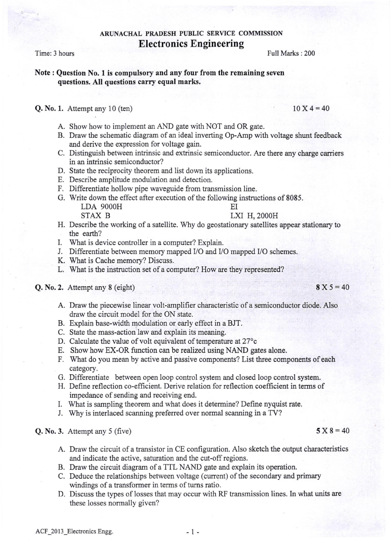## Note : Question No. I is compulsory and any four from the remaining seven questions. AIl questions carry equal marks.

## **Q. No. 1.** Attempt any 10 (ten) 10 X 4 = 40

- A. Show how to implement an AND gate with NOT and OR gate.
- B. Draw the schematic diagram of an ideal inverting Op-Amp with voltage shunt feedback and derive the expression for voltage gain.
- C. Distinguish between intrinsic and extrinsic semiconductor. Are there any charge carriers in an intrinsic semiconductor?
- D. State the reciprocity theorem and list down its applications.
- E. Describe amplitude modulation and detection.
- F. Differentiate hollow pipe waveguide from transmission line.
- G. Write down the effect after execution of the following instructions of 8085. LDA 9OOOH EI LXI H, 2000H
- H. Describe the working of a satellite. Why do geostationary satellites appear stationary to the earth?
- I. What is device controller in a computer? Explain.
- J. Differentiate between memory mapped VO and VO mapped VO schemes.
- K. What is Cache memory? Discuss.
- L. What is the instruction set of a computer? How are they represented?

# **Q. No. 2.** Attempt any 8 (eight)  $8 \text{ X } 5 = 40$

- A. Draw the piecewise linear volt-amplifier characteristic of a semiconductor diode. Also draw the circuit model for the ON state.
- B. Explain base-width modulation or early effect in a BJT.
- C. State the mass-action law and explain its meaning.
- D. Calculate the value of volt equivalent of temperature at  $27^{\circ}$ c
- E. Show how EX-OR fimction can be realized using NAND gates alone.
- F. What do you mean by active and passive components? List three components of each category.
- G. Differentiate between open loop control system and closed loop control system.
- H. Define reflection co-efFrcient. Derive relation for reflection coefficient in terrns of impedance of sending and receiving end.
- I. What is sampling theorem and what does it deterrnine? Define nyquist rate.
- J. Why is interlaced scanning preferred over normal scanning in a TV?

## **Q. No. 3.** Attempt any 5 (five)  $5 \times 8 = 40$

- A. Draw the circuit of a transistor in CE configuration. Also sketch the output characteristics and indicate the active, satwation and the cut-off regions.
- B. Draw the circuit diagram of a TTL NAND gate and explain its operation.
- C. Deduce the relationships between voltage (current) of the secondary and primary windings of a transformer in terms of tums ratio .
- D. Discuss the types of losses that may occur with RF transmission lines. In what units are these losses normally given?

## Electronics Engineering Time: 3 hours Full Marks : 200

ARUNACHAL PRADESH PUBLIC SERVICE COMMISSION